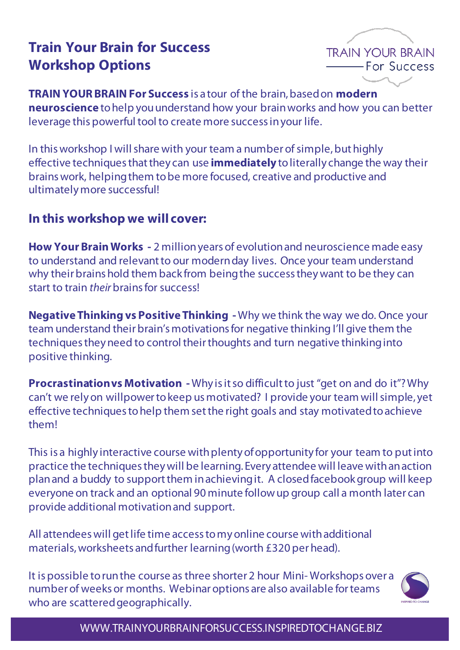# **Train Your Brain for Success Workshop Options**



**TRAIN YOUR BRAIN For Success** is a tour of the brain, based on **modern neuroscience** to help you understand how your brain works and how you can better leverage this powerful tool to create more success in your life.

In this workshop I will share with your team a number of simple, but highly effective techniques that they can use **immediately** to literally change the way their brains work, helping them to be more focused, creative and productive and ultimately more successful!

## **In this workshop we will cover:**

**How Your Brain Works -** 2 million years of evolution and neuroscience made easy to understand and relevant to our modern day lives. Once your team understand why their brains hold them back from being the success they want to be they can start to train *their* brains for success!

**Negative Thinking vs Positive Thinking -** Why we think the way we do. Once your team understand their brain's motivations for negative thinking I'll give them the techniques they need to control their thoughts and turn negative thinking into positive thinking.

**Procrastination vs Motivation -** Why is it so difficult to just "get on and do it"? Why can't we rely on willpower to keep us motivated? I provide your team will simple, yet effective techniques to help them set the right goals and stay motivated to achieve them!

This is a highly interactive course with plenty of opportunity for your team to put into practice the techniques they will be learning. Every attendee will leave with an action plan and a buddy to support them in achieving it. A closed facebookgroup will keep everyone on track and an optional 90 minute follow up group call a month later can provide additional motivation and support.

All attendees will get life time access to my online course with additional materials, worksheets and further learning (worth £320 per head).

It is possible to run the course as three shorter 2 hour Mini- Workshops over a number of weeks or months. Webinar options are also available for teams who are scattered geographically.



WWW.TRAINYOURBRAINFORSUCCESS.INSPIREDTOCHANGE.BIZ